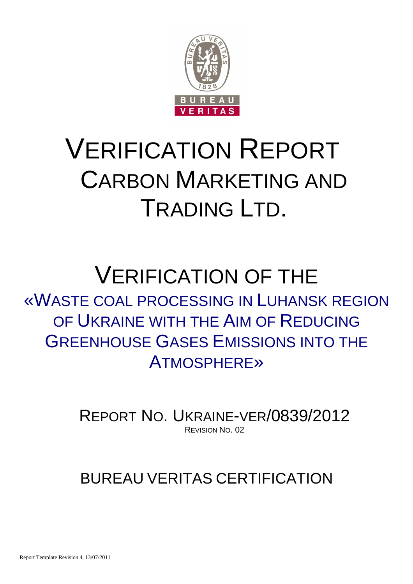

# VERIFICATION REPORT CARBON MARKETING AND TRADING LTD.

# VERIFICATION OF THE «WASTE COAL PROCESSING IN LUHANSK REGION OF UKRAINE WITH THE AIM OF REDUCING GREENHOUSE GASES EMISSIONS INTO THE ATMOSPHERE»

REPORT NO. UKRAINE-VER/0839/2012 REVISION NO. 02

# BUREAU VERITAS CERTIFICATION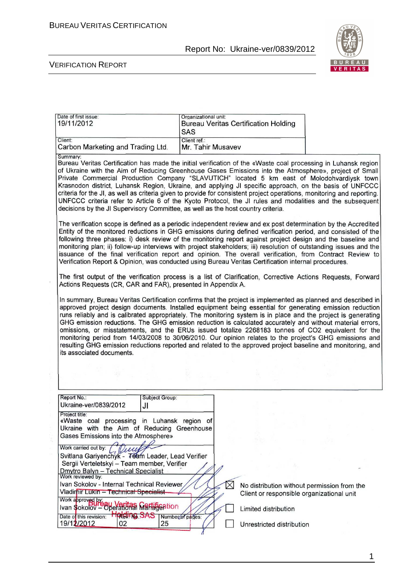

| Date of first issue:<br>19/11/2012                                                                                                                                                                                                                                                                                                                                                                                                                                                                                                                                                                                                                                                                                                                                                                                    | Organizational unit:       | <b>Bureau Veritas Certification Holding</b>                                              |  |
|-----------------------------------------------------------------------------------------------------------------------------------------------------------------------------------------------------------------------------------------------------------------------------------------------------------------------------------------------------------------------------------------------------------------------------------------------------------------------------------------------------------------------------------------------------------------------------------------------------------------------------------------------------------------------------------------------------------------------------------------------------------------------------------------------------------------------|----------------------------|------------------------------------------------------------------------------------------|--|
|                                                                                                                                                                                                                                                                                                                                                                                                                                                                                                                                                                                                                                                                                                                                                                                                                       | <b>SAS</b><br>Client ref.: |                                                                                          |  |
| Client:<br>Carbon Marketing and Trading Ltd.                                                                                                                                                                                                                                                                                                                                                                                                                                                                                                                                                                                                                                                                                                                                                                          | Mr. Tahir Musavev          |                                                                                          |  |
| Summary:<br>Bureau Veritas Certification has made the initial verification of the «Waste coal processing in Luhansk region<br>of Ukraine with the Aim of Reducing Greenhouse Gases Emissions into the Atmosphere», project of Small<br>Private Commercial Production Company "SLAVUTICH" located 5 km east of Molodohvardiysk town<br>Krasnodon district, Luhansk Region, Ukraine, and applying JI specific approach, on the basis of UNFCCC<br>criteria for the JI, as well as criteria given to provide for consistent project operations, monitoring and reporting.<br>UNFCCC criteria refer to Article 6 of the Kyoto Protocol, the JI rules and modalities and the subsequent<br>decisions by the JI Supervisory Committee, as well as the host country criteria.                                                |                            |                                                                                          |  |
| The verification scope is defined as a periodic independent review and ex post determination by the Accredited<br>Entity of the monitored reductions in GHG emissions during defined verification period, and consisted of the<br>following three phases: i) desk review of the monitoring report against project design and the baseline and<br>monitoring plan; ii) follow-up interviews with project stakeholders; iii) resolution of outstanding issues and the<br>issuance of the final verification report and opinion. The overall verification, from Contract Review to<br>Verification Report & Opinion, was conducted using Bureau Veritas Certification internal procedures.                                                                                                                               |                            |                                                                                          |  |
| The first output of the verification process is a list of Clarification, Corrective Actions Requests, Forward<br>Actions Requests (CR, CAR and FAR), presented in Appendix A.                                                                                                                                                                                                                                                                                                                                                                                                                                                                                                                                                                                                                                         |                            |                                                                                          |  |
| In summary, Bureau Veritas Certification confirms that the project is implemented as planned and described in<br>approved project design documents. Installed equipment being essential for generating emission reduction<br>runs reliably and is calibrated appropriately. The monitoring system is in place and the project is generating<br>GHG emission reductions. The GHG emission reduction is calculated accurately and without material errors,<br>omissions, or misstatements, and the ERUs issued totalize 2268183 tonnes of CO2 equivalent for the<br>monitoring period from 14/03/2008 to 30/06/2010. Our opinion relates to the project's GHG emissions and<br>resulting GHG emission reductions reported and related to the approved project baseline and monitoring, and<br>its associated documents. |                            |                                                                                          |  |
|                                                                                                                                                                                                                                                                                                                                                                                                                                                                                                                                                                                                                                                                                                                                                                                                                       |                            |                                                                                          |  |
| Report No.:<br>Subject Group:<br>Ukraine-ver/0839/2012<br>JI                                                                                                                                                                                                                                                                                                                                                                                                                                                                                                                                                                                                                                                                                                                                                          |                            |                                                                                          |  |
| Project title:<br>«Waste coal processing in Luhansk region of<br>Ukraine with the Aim of Reducing Greenhouse<br>Gases Emissions into the Atmosphere»                                                                                                                                                                                                                                                                                                                                                                                                                                                                                                                                                                                                                                                                  |                            |                                                                                          |  |
| Work carried out by: /<br>Svitlana Gariyenchyk - Toam Leader, Lead Verifier<br>Sergii Verteletskyi - Team member, Verifier                                                                                                                                                                                                                                                                                                                                                                                                                                                                                                                                                                                                                                                                                            |                            |                                                                                          |  |
| Dmytro Balyn - Technical Specialist<br>Work reviewed by:<br>Ivan Sokolov - Internal Technical Reviewer<br>Vladimir Lukin - Technical Specialist<br>Work approved by                                                                                                                                                                                                                                                                                                                                                                                                                                                                                                                                                                                                                                                   | $\times$                   | No distribution without permission from the<br>Client or responsible organizational unit |  |
| Ivan Sokolov - Operational Martification                                                                                                                                                                                                                                                                                                                                                                                                                                                                                                                                                                                                                                                                                                                                                                              |                            | Limited distribution                                                                     |  |
| Date of this revision: <b>HOREUTING SAS</b> Number of pages:<br>19/12/2012<br>25<br>02                                                                                                                                                                                                                                                                                                                                                                                                                                                                                                                                                                                                                                                                                                                                |                            | Unrestricted distribution                                                                |  |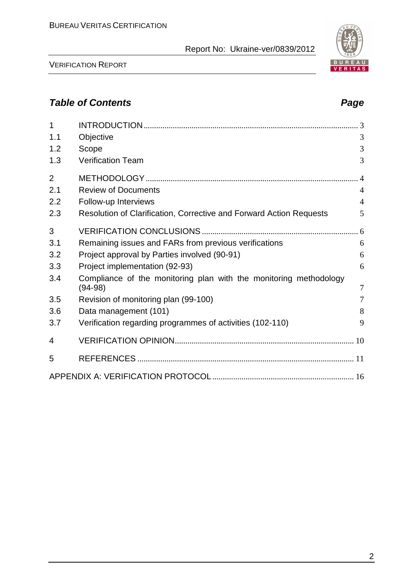

VERIFICATION REPORT

# **Table of Contents Page 2018**

| 1              |                                                                     |                |
|----------------|---------------------------------------------------------------------|----------------|
| 1.1            | Objective                                                           | 3              |
| 1.2            | Scope                                                               | 3              |
| 1.3            | <b>Verification Team</b>                                            | 3              |
| $\overline{2}$ |                                                                     |                |
| 2.1            | <b>Review of Documents</b>                                          | $\overline{4}$ |
| 2.2            | Follow-up Interviews                                                | $\overline{4}$ |
| 2.3            | Resolution of Clarification, Corrective and Forward Action Requests | 5              |
| 3              |                                                                     |                |
| 3.1            | Remaining issues and FARs from previous verifications               | 6              |
| 3.2            | Project approval by Parties involved (90-91)                        | 6              |
| 3.3            | Project implementation (92-93)                                      | 6              |
| 3.4            | Compliance of the monitoring plan with the monitoring methodology   | $\overline{7}$ |
|                | $(94-98)$                                                           | 7              |
| 3.5            | Revision of monitoring plan (99-100)                                |                |
| 3.6            | Data management (101)                                               | 8              |
| 3.7            | Verification regarding programmes of activities (102-110)           | 9              |
| 4              |                                                                     |                |
| 5              |                                                                     |                |
|                |                                                                     |                |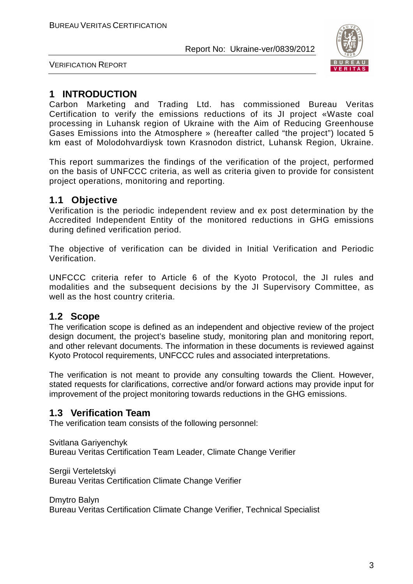

VERIFICATION REPORT

### **1 INTRODUCTION**

Carbon Marketing and Trading Ltd. has commissioned Bureau Veritas Certification to verify the emissions reductions of its JI project «Waste coal processing in Luhansk region of Ukraine with the Aim of Reducing Greenhouse Gases Emissions into the Atmosphere » (hereafter called "the project") located 5 km east of Molodohvardіysk town Krasnodon district, Luhansk Region, Ukraine.

This report summarizes the findings of the verification of the project, performed on the basis of UNFCCC criteria, as well as criteria given to provide for consistent project operations, monitoring and reporting.

#### **1.1 Objective**

Verification is the periodic independent review and ex post determination by the Accredited Independent Entity of the monitored reductions in GHG emissions during defined verification period.

The objective of verification can be divided in Initial Verification and Periodic Verification.

UNFCCC criteria refer to Article 6 of the Kyoto Protocol, the JI rules and modalities and the subsequent decisions by the JI Supervisory Committee, as well as the host country criteria.

#### **1.2 Scope**

The verification scope is defined as an independent and objective review of the project design document, the project's baseline study, monitoring plan and monitoring report, and other relevant documents. The information in these documents is reviewed against Kyoto Protocol requirements, UNFCCC rules and associated interpretations.

The verification is not meant to provide any consulting towards the Client. However, stated requests for clarifications, corrective and/or forward actions may provide input for improvement of the project monitoring towards reductions in the GHG emissions.

#### **1.3 Verification Team**

The verification team consists of the following personnel:

Svitlana Gariyenchyk Bureau Veritas Certification Team Leader, Climate Change Verifier

Sergii Verteletskyi Bureau Veritas Certification Climate Change Verifier

Dmytro Balyn Bureau Veritas Certification Climate Change Verifier, Technical Specialist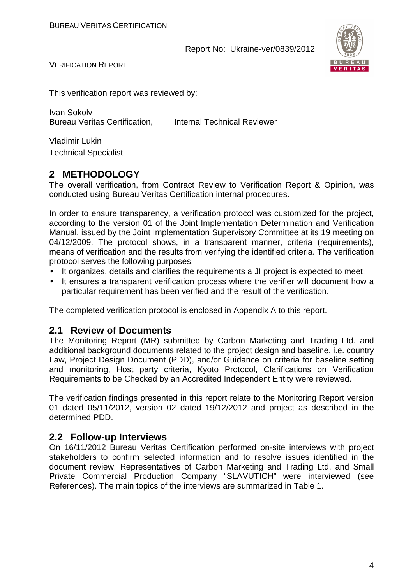

VERIFICATION REPORT

This verification report was reviewed by:

Ivan Sokolv Bureau Veritas Certification, Internal Technical Reviewer

Vladimir Lukin Technical Specialist

#### **2 METHODOLOGY**

The overall verification, from Contract Review to Verification Report & Opinion, was conducted using Bureau Veritas Certification internal procedures.

In order to ensure transparency, a verification protocol was customized for the project, according to the version 01 of the Joint Implementation Determination and Verification Manual, issued by the Joint Implementation Supervisory Committee at its 19 meeting on 04/12/2009. The protocol shows, in a transparent manner, criteria (requirements), means of verification and the results from verifying the identified criteria. The verification protocol serves the following purposes:

- It organizes, details and clarifies the requirements a JI project is expected to meet;
- It ensures a transparent verification process where the verifier will document how a particular requirement has been verified and the result of the verification.

The completed verification protocol is enclosed in Appendix A to this report.

#### **2.1 Review of Documents**

The Monitoring Report (MR) submitted by Carbon Marketing and Trading Ltd. and additional background documents related to the project design and baseline, i.e. country Law, Project Design Document (PDD), and/or Guidance on criteria for baseline setting and monitoring, Host party criteria, Kyoto Protocol, Clarifications on Verification Requirements to be Checked by an Accredited Independent Entity were reviewed.

The verification findings presented in this report relate to the Monitoring Report version 01 dated 05/11/2012, version 02 dated 19/12/2012 and project as described in the determined PDD.

#### **2.2 Follow-up Interviews**

On 16/11/2012 Bureau Veritas Certification performed on-site interviews with project stakeholders to confirm selected information and to resolve issues identified in the document review. Representatives of Carbon Marketing and Trading Ltd. and Small Private Commercial Production Company "SLAVUTICH" were interviewed (see References). The main topics of the interviews are summarized in Table 1.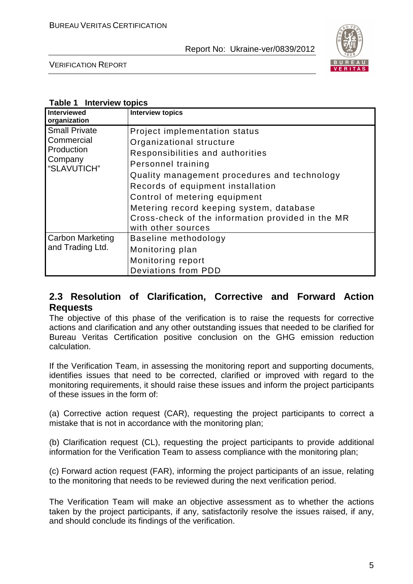

VERIFICATION REPORT

#### **Table 1 Interview topics**

| <b>Interviewed</b><br>organization                                         | <b>Interview topics</b>                                                                                                                                                                                                                                                                                                                                          |
|----------------------------------------------------------------------------|------------------------------------------------------------------------------------------------------------------------------------------------------------------------------------------------------------------------------------------------------------------------------------------------------------------------------------------------------------------|
| <b>Small Private</b><br>Commercial<br>Production<br>Company<br>"SLAVUTICH" | Project implementation status<br>Organizational structure<br>Responsibilities and authorities<br>Personnel training<br>Quality management procedures and technology<br>Records of equipment installation<br>Control of metering equipment<br>Metering record keeping system, database<br>Cross-check of the information provided in the MR<br>with other sources |
| <b>Carbon Marketing</b><br>and Trading Ltd.                                | Baseline methodology<br>Monitoring plan<br>Monitoring report<br><b>Deviations from PDD</b>                                                                                                                                                                                                                                                                       |

#### **2.3 Resolution of Clarification, Corrective and Forward Action Requests**

The objective of this phase of the verification is to raise the requests for corrective actions and clarification and any other outstanding issues that needed to be clarified for Bureau Veritas Certification positive conclusion on the GHG emission reduction calculation.

If the Verification Team, in assessing the monitoring report and supporting documents, identifies issues that need to be corrected, clarified or improved with regard to the monitoring requirements, it should raise these issues and inform the project participants of these issues in the form of:

(a) Corrective action request (CAR), requesting the project participants to correct a mistake that is not in accordance with the monitoring plan;

(b) Clarification request (CL), requesting the project participants to provide additional information for the Verification Team to assess compliance with the monitoring plan;

(c) Forward action request (FAR), informing the project participants of an issue, relating to the monitoring that needs to be reviewed during the next verification period.

The Verification Team will make an objective assessment as to whether the actions taken by the project participants, if any, satisfactorily resolve the issues raised, if any, and should conclude its findings of the verification.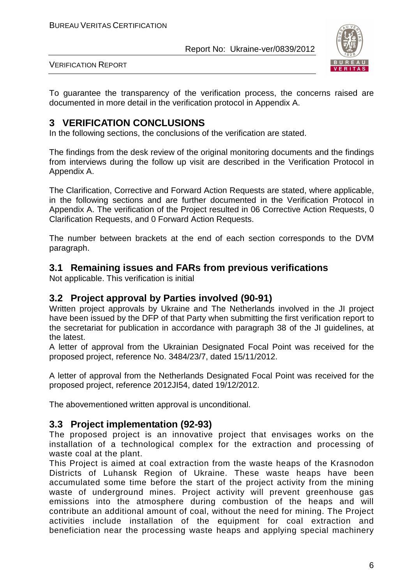

VERIFICATION REPORT

To guarantee the transparency of the verification process, the concerns raised are documented in more detail in the verification protocol in Appendix A.

#### **3 VERIFICATION CONCLUSIONS**

In the following sections, the conclusions of the verification are stated.

The findings from the desk review of the original monitoring documents and the findings from interviews during the follow up visit are described in the Verification Protocol in Appendix A.

The Clarification, Corrective and Forward Action Requests are stated, where applicable, in the following sections and are further documented in the Verification Protocol in Appendix A. The verification of the Project resulted in 06 Corrective Action Requests, 0 Clarification Requests, and 0 Forward Action Requests.

The number between brackets at the end of each section corresponds to the DVM paragraph.

#### **3.1 Remaining issues and FARs from previous verifications**

Not applicable. This verification is initial

#### **3.2 Project approval by Parties involved (90-91)**

Written project approvals by Ukraine and The Netherlands involved in the JI project have been issued by the DFP of that Party when submitting the first verification report to the secretariat for publication in accordance with paragraph 38 of the JI guidelines, at the latest.

A letter of approval from the Ukrainian Designated Focal Point was received for the proposed project, reference No. 3484/23/7, dated 15/11/2012.

A letter of approval from the Netherlands Designated Focal Point was received for the proposed project, reference 2012JI54, dated 19/12/2012.

The abovementioned written approval is unconditional.

#### **3.3 Project implementation (92-93)**

The proposed project is an innovative project that envisages works on the installation of a technological complex for the extraction and processing of waste coal at the plant.

This Project is aimed at coal extraction from the waste heaps of the Krasnodon Districts of Luhansk Region of Ukraine. These waste heaps have been accumulated some time before the start of the project activity from the mining waste of underground mines. Project activity will prevent greenhouse gas emissions into the atmosphere during combustion of the heaps and will contribute an additional amount of coal, without the need for mining. The Project activities include installation of the equipment for coal extraction and beneficiation near the processing waste heaps and applying special machinery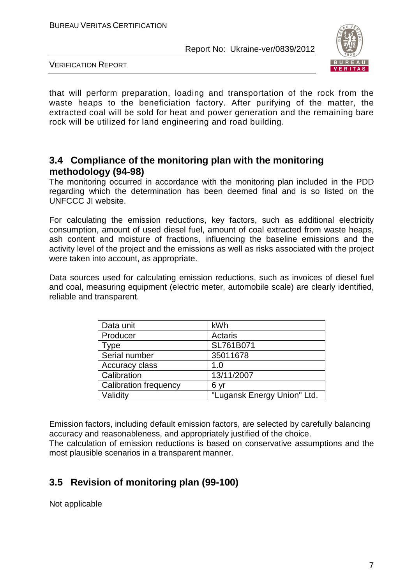

VERIFICATION REPORT

that will perform preparation, loading and transportation of the rock from the waste heaps to the beneficiation factory. After purifying of the matter, the extracted coal will be sold for heat and power generation and the remaining bare rock will be utilized for land engineering and road building.

#### **3.4 Compliance of the monitoring plan with the monitoring methodology (94-98)**

The monitoring occurred in accordance with the monitoring plan included in the PDD regarding which the determination has been deemed final and is so listed on the UNFCCC JI website.

For calculating the emission reductions, key factors, such as additional electricity consumption, amount of used diesel fuel, amount of coal extracted from waste heaps, ash content and moisture of fractions, influencing the baseline emissions and the activity level of the project and the emissions as well as risks associated with the project were taken into account, as appropriate.

Data sources used for calculating emission reductions, such as invoices of diesel fuel and coal, measuring equipment (electric meter, automobile scale) are clearly identified, reliable and transparent.

| Data unit                    | kWh                         |
|------------------------------|-----------------------------|
| Producer                     | Actaris                     |
| Type                         | SL761B071                   |
| Serial number                | 35011678                    |
| Accuracy class               | 1.0                         |
| Calibration                  | 13/11/2007                  |
| <b>Calibration frequency</b> | 6 yr                        |
| Validity                     | "Lugansk Energy Union" Ltd. |

Emission factors, including default emission factors, are selected by carefully balancing accuracy and reasonableness, and appropriately justified of the choice. The calculation of emission reductions is based on conservative assumptions and the most plausible scenarios in a transparent manner.

## **3.5 Revision of monitoring plan (99-100)**

Not applicable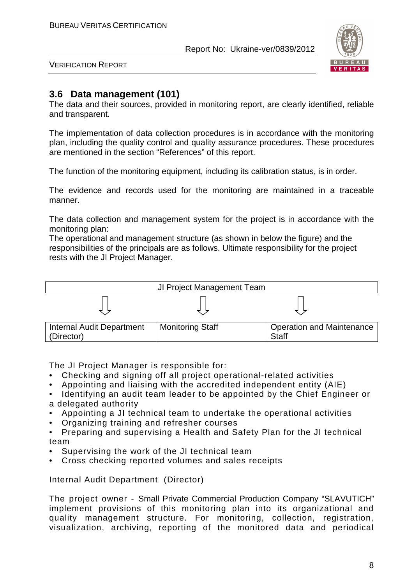

VERIFICATION REPORT

### **3.6 Data management (101)**

The data and their sources, provided in monitoring report, are clearly identified, reliable and transparent.

The implementation of data collection procedures is in accordance with the monitoring plan, including the quality control and quality assurance procedures. These procedures are mentioned in the section "References" of this report.

The function of the monitoring equipment, including its calibration status, is in order.

The evidence and records used for the monitoring are maintained in a traceable manner.

The data collection and management system for the project is in accordance with the monitoring plan:

The operational and management structure (as shown in below the figure) and the responsibilities of the principals are as follows. Ultimate responsibility for the project rests with the JI Project Manager.



The JI Project Manager is responsible for:

- Checking and signing off all project operational-related activities
- Appointing and liaising with the accredited independent entity (AIE)
- Identifying an audit team leader to be appointed by the Chief Engineer or a delegated authority
- Appointing a JI technical team to undertake the operational activities
- Organizing training and refresher courses
- Preparing and supervising a Health and Safety Plan for the JI technical team
- Supervising the work of the JI technical team
- Cross checking reported volumes and sales receipts

Internal Audit Department (Director)

The project owner - Small Private Commercial Production Company "SLAVUTICH" implement provisions of this monitoring plan into its organizational and quality management structure. For monitoring, collection, registration, visualization, archiving, reporting of the monitored data and periodical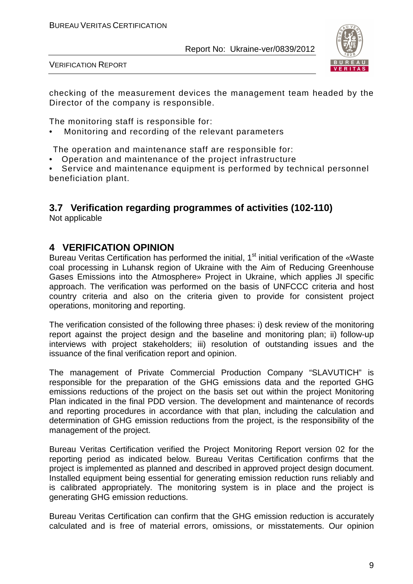

VERIFICATION REPORT

checking of the measurement devices the management team headed by the Director of the company is responsible.

The monitoring staff is responsible for:

• Monitoring and recording of the relevant parameters

The operation and maintenance staff are responsible for:

• Operation and maintenance of the project infrastructure

• Service and maintenance equipment is performed by technical personnel beneficiation plant.

## **3.7 Verification regarding programmes of activities (102-110)**

Not applicable

#### **4 VERIFICATION OPINION**

Bureau Veritas Certification has performed the initial, 1<sup>st</sup> initial verification of the «Waste coal processing in Luhansk region of Ukraine with the Aim of Reducing Greenhouse Gases Emissions into the Atmosphere» Project in Ukraine, which applies JI specific approach. The verification was performed on the basis of UNFCCC criteria and host country criteria and also on the criteria given to provide for consistent project operations, monitoring and reporting.

The verification consisted of the following three phases: i) desk review of the monitoring report against the project design and the baseline and monitoring plan; ii) follow-up interviews with project stakeholders; iii) resolution of outstanding issues and the issuance of the final verification report and opinion.

The management of Private Commercial Production Company "SLAVUTICH" is responsible for the preparation of the GHG emissions data and the reported GHG emissions reductions of the project on the basis set out within the project Monitoring Plan indicated in the final PDD version. The development and maintenance of records and reporting procedures in accordance with that plan, including the calculation and determination of GHG emission reductions from the project, is the responsibility of the management of the project.

Bureau Veritas Certification verified the Project Monitoring Report version 02 for the reporting period as indicated below. Bureau Veritas Certification confirms that the project is implemented as planned and described in approved project design document. Installed equipment being essential for generating emission reduction runs reliably and is calibrated appropriately. The monitoring system is in place and the project is generating GHG emission reductions.

Bureau Veritas Certification can confirm that the GHG emission reduction is accurately calculated and is free of material errors, omissions, or misstatements. Our opinion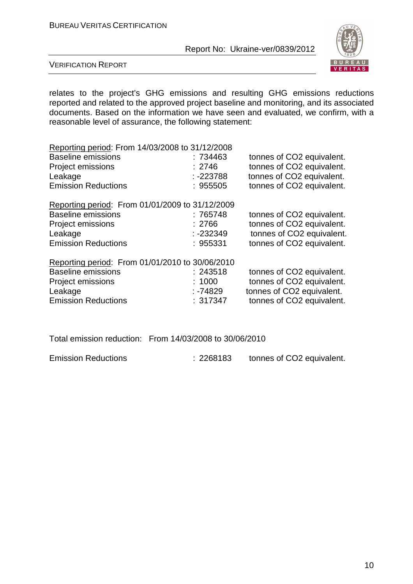

VERIFICATION REPORT

relates to the project's GHG emissions and resulting GHG emissions reductions reported and related to the approved project baseline and monitoring, and its associated documents. Based on the information we have seen and evaluated, we confirm, with a reasonable level of assurance, the following statement:

| Reporting period: From 14/03/2008 to 31/12/2008 |             |                           |
|-------------------------------------------------|-------------|---------------------------|
| <b>Baseline emissions</b>                       | : 734463    | tonnes of CO2 equivalent. |
| <b>Project emissions</b>                        | : 2746      | tonnes of CO2 equivalent. |
| Leakage                                         | $: -223788$ | tonnes of CO2 equivalent. |
| <b>Emission Reductions</b>                      | : 955505    | tonnes of CO2 equivalent. |
| Reporting period: From 01/01/2009 to 31/12/2009 |             |                           |
| <b>Baseline emissions</b>                       | :765748     | tonnes of CO2 equivalent. |
| <b>Project emissions</b>                        | : 2766      | tonnes of CO2 equivalent. |
| Leakage                                         | $: -232349$ | tonnes of CO2 equivalent. |
| <b>Emission Reductions</b>                      | : 955331    | tonnes of CO2 equivalent. |
| Reporting period: From 01/01/2010 to 30/06/2010 |             |                           |
| <b>Baseline emissions</b>                       | : 243518    | tonnes of CO2 equivalent. |
| Project emissions                               | : 1000      | tonnes of CO2 equivalent. |
| Leakage                                         | : -74829    | tonnes of CO2 equivalent. |
| <b>Emission Reductions</b>                      | : 317347    | tonnes of CO2 equivalent. |

Total emission reduction: From 14/03/2008 to 30/06/2010

Emission Reductions : 2268183 tonnes of CO2 equivalent.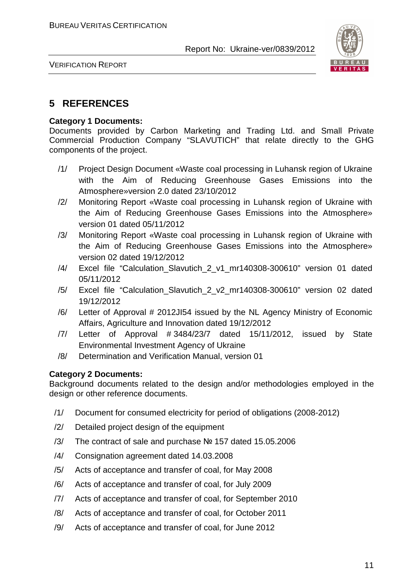

VERIFICATION REPORT

#### **5 REFERENCES**

#### **Category 1 Documents:**

Documents provided by Carbon Marketing and Trading Ltd. and Small Private Commercial Production Company "SLAVUTICH" that relate directly to the GHG components of the project.

- /1/ Project Design Document «Waste coal processing in Luhansk region of Ukraine with the Aim of Reducing Greenhouse Gases Emissions into the Atmosphere»version 2.0 dated 23/10/2012
- /2/ Monitoring Report «Waste coal processing in Luhansk region of Ukraine with the Aim of Reducing Greenhouse Gases Emissions into the Atmosphere» version 01 dated 05/11/2012
- /3/ Monitoring Report «Waste coal processing in Luhansk region of Ukraine with the Aim of Reducing Greenhouse Gases Emissions into the Atmosphere» version 02 dated 19/12/2012
- /4/ Excel file "Calculation\_Slavutich\_2\_v1\_mr140308-300610" version 01 dated 05/11/2012
- /5/ Excel file "Calculation\_Slavutich\_2\_v2\_mr140308-300610" version 02 dated 19/12/2012
- /6/ Letter of Approval # 2012JI54 issued by the NL Agency Ministry of Economic Affairs, Agriculture and Innovation dated 19/12/2012
- /7/ Letter of Approval # 3484/23/7 dated 15/11/2012, issued by State Environmental Investment Agency of Ukraine
- /8/ Determination and Verification Manual, version 01

#### **Category 2 Documents:**

Background documents related to the design and/or methodologies employed in the design or other reference documents.

- /1/ Document for consumed electricity for period of obligations (2008-2012)
- /2/ Detailed project design of the equipment
- /3/ The contract of sale and purchase № 157 dated 15.05.2006
- /4/ Consignation agreement dated 14.03.2008
- /5/ Acts of acceptance and transfer of coal, for May 2008
- /6/ Acts of acceptance and transfer of coal, for July 2009
- /7/ Acts of acceptance and transfer of coal, for September 2010
- /8/ Acts of acceptance and transfer of coal, for October 2011
- /9/ Acts of acceptance and transfer of coal, for June 2012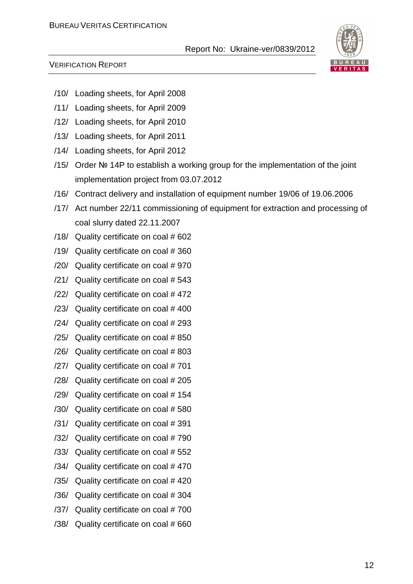

- /10/ Loading sheets, for April 2008
- /11/ Loading sheets, for April 2009
- /12/ Loading sheets, for April 2010
- /13/ Loading sheets, for April 2011
- /14/ Loading sheets, for April 2012
- /15/ Order № 14P to establish a working group for the implementation of the joint implementation project from 03.07.2012
- /16/ Contract delivery and installation of equipment number 19/06 of 19.06.2006
- /17/ Act number 22/11 commissioning of equipment for extraction and processing of coal slurry dated 22.11.2007
- /18/ Quality certificate on coal # 602
- /19/ Quality certificate on coal # 360
- /20/ Quality certificate on coal # 970
- /21/ Quality certificate on coal # 543
- /22/ Quality certificate on coal # 472
- /23/ Quality certificate on coal # 400
- /24/ Quality certificate on coal # 293
- /25/ Quality certificate on coal # 850
- /26/ Quality certificate on coal # 803
- /27/ Quality certificate on coal # 701
- /28/ Quality certificate on coal # 205
- /29/ Quality certificate on coal # 154
- /30/ Quality certificate on coal # 580
- /31/ Quality certificate on coal # 391
- /32/ Quality certificate on coal # 790
- /33/ Quality certificate on coal # 552
- /34/ Quality certificate on coal # 470
- /35/ Quality certificate on coal # 420
- /36/ Quality certificate on coal # 304
- /37/ Quality certificate on coal # 700
- /38/ Quality certificate on coal # 660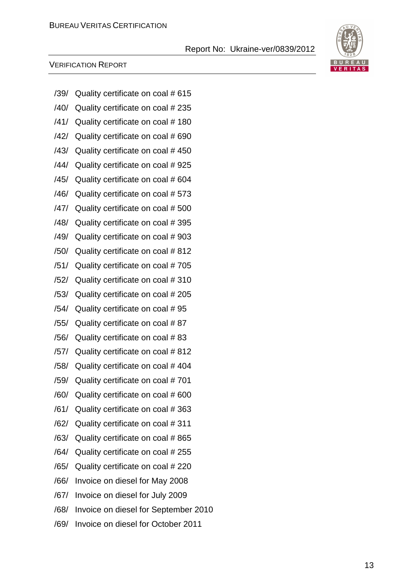# BURE AU. VERITAS

| /39/ | Quality certificate on coal # 615    |
|------|--------------------------------------|
| /40/ | Quality certificate on coal # 235    |
| /41/ | Quality certificate on coal #180     |
| /42/ | Quality certificate on coal # 690    |
| /43/ | Quality certificate on coal #450     |
| /44/ | Quality certificate on coal #925     |
| /45/ | Quality certificate on coal #604     |
| /46/ | Quality certificate on coal # 573    |
| /47/ | Quality certificate on coal # 500    |
| /48/ | Quality certificate on coal #395     |
| /49/ | Quality certificate on coal #903     |
| /50/ | Quality certificate on coal #812     |
| /51/ | Quality certificate on coal #705     |
| /52/ | Quality certificate on coal #310     |
| /53/ | Quality certificate on coal # 205    |
| /54/ | Quality certificate on coal #95      |
| /55/ | Quality certificate on coal #87      |
| /56/ | Quality certificate on coal #83      |
| /57/ | Quality certificate on coal # 812    |
| /58/ | Quality certificate on coal #404     |
| /59/ | Quality certificate on coal #701     |
| /60/ | Quality certificate on coal # 600    |
| /61/ | Quality certificate on coal #363     |
| /62/ | Quality certificate on coal #311     |
| /63/ | Quality certificate on coal # 865    |
| /64/ | Quality certificate on coal # 255    |
| /65/ | Quality certificate on coal # 220    |
| /66/ | Invoice on diesel for May 2008       |
| /67/ | Invoice on diesel for July 2009      |
| /68/ | Invoice on diesel for September 2010 |
| /69/ | Invoice on diesel for October 2011   |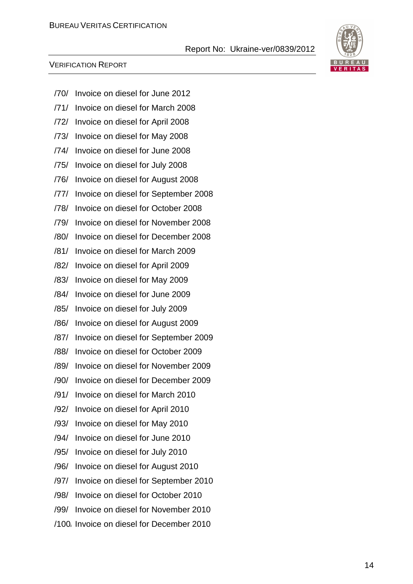

- /70/ Invoice on diesel for June 2012
- /71/ Invoice on diesel for March 2008
- /72/ Invoice on diesel for April 2008
- /73/ Invoice on diesel for May 2008
- /74/ Invoice on diesel for June 2008
- /75/ Invoice on diesel for July 2008
- /76/ Invoice on diesel for August 2008
- /77/ Invoice on diesel for September 2008
- /78/ Invoice on diesel for October 2008
- /79/ Invoice on diesel for November 2008
- /80/ Invoice on diesel for December 2008
- /81/ Invoice on diesel for March 2009
- /82/ Invoice on diesel for April 2009
- /83/ Invoice on diesel for May 2009
- /84/ Invoice on diesel for June 2009
- /85/ Invoice on diesel for July 2009
- /86/ Invoice on diesel for August 2009
- /87/ Invoice on diesel for September 2009
- /88/ Invoice on diesel for October 2009
- /89/ Invoice on diesel for November 2009
- /90/ Invoice on diesel for December 2009
- /91/ Invoice on diesel for March 2010
- /92/ Invoice on diesel for April 2010
- /93/ Invoice on diesel for May 2010
- /94/ Invoice on diesel for June 2010
- /95/ Invoice on diesel for July 2010
- /96/ Invoice on diesel for August 2010
- /97/ Invoice on diesel for September 2010
- /98/ Invoice on diesel for October 2010
- /99/ Invoice on diesel for November 2010
- /100/ Invoice on diesel for December 2010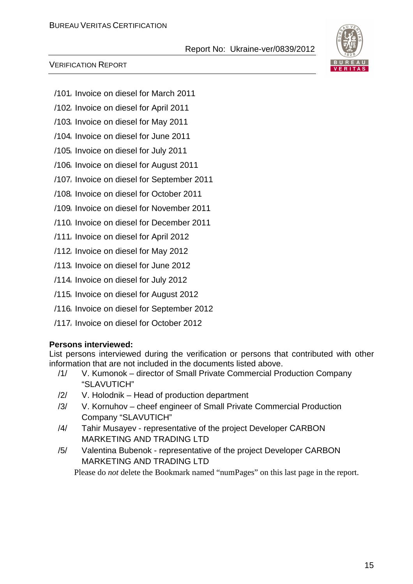#### VERIFICATION REPORT

- /101/ Invoice on diesel for March 2011
- /102/ Invoice on diesel for April 2011
- /103/ Invoice on diesel for May 2011
- /104/ Invoice on diesel for June 2011
- /105/ Invoice on diesel for July 2011
- /106/ Invoice on diesel for August 2011
- /107/ Invoice on diesel for September 2011
- /108/ Invoice on diesel for October 2011
- /109/ Invoice on diesel for November 2011
- /110/ Invoice on diesel for December 2011
- /111/ Invoice on diesel for April 2012
- /112/ Invoice on diesel for May 2012
- /113/ Invoice on diesel for June 2012
- /114/ Invoice on diesel for July 2012
- /115/ Invoice on diesel for August 2012
- /116/ Invoice on diesel for September 2012
- /117/ Invoice on diesel for October 2012

#### **Persons interviewed:**

List persons interviewed during the verification or persons that contributed with other information that are not included in the documents listed above.

- /1/ V. Kumonok director of Small Private Commercial Production Company "SLAVUTICH"
- /2/ V. Holodnik Head of production department
- /3/ V. Kornuhov cheef engineer of Small Private Commercial Production Company "SLAVUTICH"
- /4/ Tahir Musayev representative of the project Developer СARBON MARKETING AND TRADING LTD
- /5/ Valentina Bubenok representative of the project Developer СARBON MARKETING AND TRADING LTD

Please do *not* delete the Bookmark named "numPages" on this last page in the report.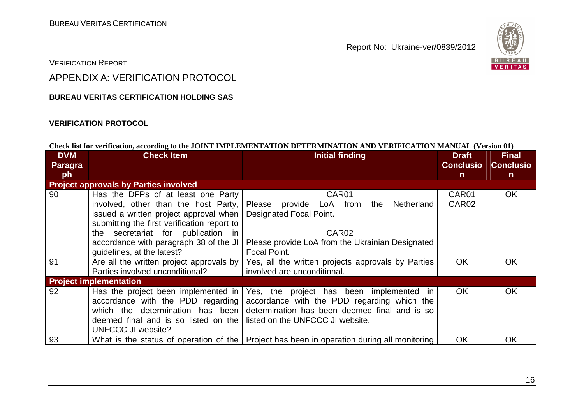

#### VERIFICATION REPORT

## APPENDIX A: VERIFICATION PROTOCOL

#### **BUREAU VERITAS CERTIFICATION HOLDING SAS**

#### **VERIFICATION PROTOCOL**

#### **Check list for verification, according to the JOINT IMPLEMENTATION DETERMINATION AND VERIFICATION MANUAL (Version 01)**

| <b>DVM</b><br>Paragra | <b>Check Item</b>                            | <b>Initial finding</b>                              | <b>Draft</b><br><b>Conclusio</b> | <b>Final</b><br><b>Conclusio</b> |
|-----------------------|----------------------------------------------|-----------------------------------------------------|----------------------------------|----------------------------------|
| ph                    |                                              |                                                     | n.                               | n.                               |
|                       | <b>Project approvals by Parties involved</b> |                                                     |                                  |                                  |
| 90                    | Has the DFPs of at least one Party           | CAR <sub>01</sub>                                   | CAR01                            | <b>OK</b>                        |
|                       | involved, other than the host Party,         | provide LoA from<br>the Netherland<br>Please        | CAR <sub>02</sub>                |                                  |
|                       | issued a written project approval when       | <b>Designated Focal Point.</b>                      |                                  |                                  |
|                       | submitting the first verification report to  |                                                     |                                  |                                  |
|                       | the secretariat for publication in           | CAR <sub>02</sub>                                   |                                  |                                  |
|                       | accordance with paragraph 38 of the JI       | Please provide LoA from the Ukrainian Designated    |                                  |                                  |
|                       | guidelines, at the latest?                   | Focal Point.                                        |                                  |                                  |
| 91                    | Are all the written project approvals by     | Yes, all the written projects approvals by Parties  | <b>OK</b>                        | <b>OK</b>                        |
|                       | Parties involved unconditional?              | involved are unconditional.                         |                                  |                                  |
|                       | <b>Project implementation</b>                |                                                     |                                  |                                  |
| 92                    | Has the project been implemented in          | Yes, the project has been<br>implemented in         | <b>OK</b>                        | <b>OK</b>                        |
|                       | accordance with the PDD regarding            | accordance with the PDD regarding which the         |                                  |                                  |
|                       | which the determination has been             | determination has been deemed final and is so       |                                  |                                  |
|                       | deemed final and is so listed on the         | listed on the UNFCCC JI website.                    |                                  |                                  |
|                       | UNFCCC JI website?                           |                                                     |                                  |                                  |
| 93                    | What is the status of operation of the       | Project has been in operation during all monitoring | <b>OK</b>                        | <b>OK</b>                        |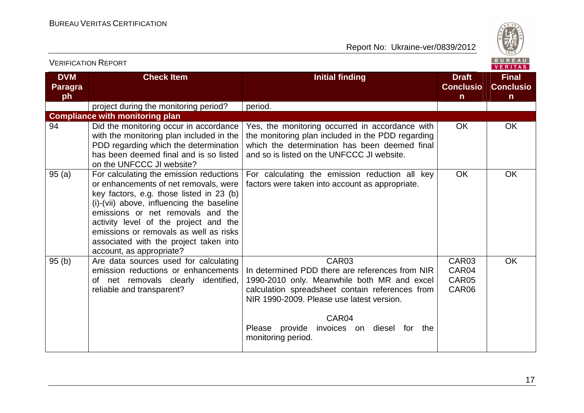

| <b>VERIFICATION REPORT</b>         |                                                                                                                                                                                                                                                                                                                                                                         |                                                                                                                                                                                                                                                                                                    |                                                  | <b>BUREAU</b><br>VERITAS                         |
|------------------------------------|-------------------------------------------------------------------------------------------------------------------------------------------------------------------------------------------------------------------------------------------------------------------------------------------------------------------------------------------------------------------------|----------------------------------------------------------------------------------------------------------------------------------------------------------------------------------------------------------------------------------------------------------------------------------------------------|--------------------------------------------------|--------------------------------------------------|
| <b>DVM</b><br><b>Paragra</b><br>ph | <b>Check Item</b>                                                                                                                                                                                                                                                                                                                                                       | <b>Initial finding</b>                                                                                                                                                                                                                                                                             | <b>Draft</b><br><b>Conclusio</b><br>$\mathsf{n}$ | <b>Final</b><br><b>Conclusio</b><br>$\mathsf{n}$ |
|                                    | project during the monitoring period?                                                                                                                                                                                                                                                                                                                                   | period.                                                                                                                                                                                                                                                                                            |                                                  |                                                  |
|                                    | <b>Compliance with monitoring plan</b>                                                                                                                                                                                                                                                                                                                                  |                                                                                                                                                                                                                                                                                                    |                                                  |                                                  |
| 94                                 | Did the monitoring occur in accordance<br>with the monitoring plan included in the<br>PDD regarding which the determination<br>has been deemed final and is so listed<br>on the UNFCCC JI website?                                                                                                                                                                      | Yes, the monitoring occurred in accordance with<br>the monitoring plan included in the PDD regarding<br>which the determination has been deemed final<br>and so is listed on the UNFCCC JI website.                                                                                                | <b>OK</b>                                        | <b>OK</b>                                        |
| 95(a)                              | For calculating the emission reductions<br>or enhancements of net removals, were<br>key factors, e.g. those listed in 23 (b)<br>(i)-(vii) above, influencing the baseline<br>emissions or net removals and the<br>activity level of the project and the<br>emissions or removals as well as risks<br>associated with the project taken into<br>account, as appropriate? | For calculating the emission reduction all key<br>factors were taken into account as appropriate.                                                                                                                                                                                                  | <b>OK</b>                                        | <b>OK</b>                                        |
| 95(b)                              | Are data sources used for calculating<br>emission reductions or enhancements<br>of net removals clearly identified,<br>reliable and transparent?                                                                                                                                                                                                                        | CAR <sub>03</sub><br>In determined PDD there are references from NIR<br>1990-2010 only. Meanwhile both MR and excel<br>calculation spreadsheet contain references from<br>NIR 1990-2009. Please use latest version.<br>CAR04<br>Please provide<br>invoices on diesel for the<br>monitoring period. | CAR03<br>CAR04<br>CAR05<br>CAR06                 | <b>OK</b>                                        |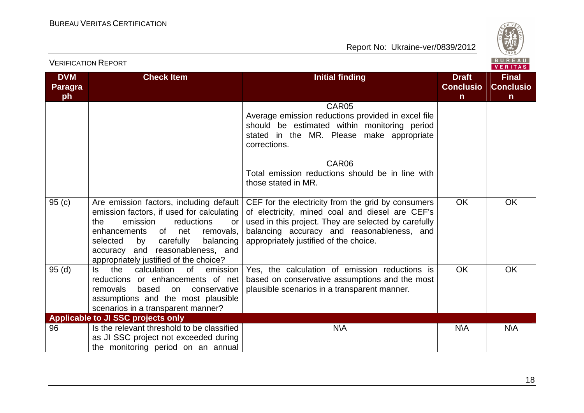

|                                    | <b>VERIFICATION REPORT</b>                                                                                                                                                                                                                                  |                                                                                                                                                                                                                                                                                                                    |                                                  | BUREAU<br><b>VERITAS</b>                         |
|------------------------------------|-------------------------------------------------------------------------------------------------------------------------------------------------------------------------------------------------------------------------------------------------------------|--------------------------------------------------------------------------------------------------------------------------------------------------------------------------------------------------------------------------------------------------------------------------------------------------------------------|--------------------------------------------------|--------------------------------------------------|
| <b>DVM</b><br><b>Paragra</b><br>ph | <b>Check Item</b>                                                                                                                                                                                                                                           | <b>Initial finding</b>                                                                                                                                                                                                                                                                                             | <b>Draft</b><br><b>Conclusio</b><br>$\mathsf{n}$ | <b>Final</b><br><b>Conclusio</b><br>$\mathsf{n}$ |
| 95(c)                              | Are emission factors, including default                                                                                                                                                                                                                     | CAR05<br>Average emission reductions provided in excel file<br>should be estimated within monitoring period<br>stated in the MR. Please make appropriate<br>corrections.<br>CAR06<br>Total emission reductions should be in line with<br>those stated in MR.<br>CEF for the electricity from the grid by consumers | <b>OK</b>                                        | <b>OK</b>                                        |
|                                    | emission factors, if used for calculating<br>the<br>emission<br>reductions<br><b>or</b><br>enhancements<br>of<br>removals.<br>net<br>balancing<br>selected<br>carefully<br>by<br>accuracy and reasonableness, and<br>appropriately justified of the choice? | of electricity, mined coal and diesel are CEF's<br>used in this project. They are selected by carefully<br>balancing accuracy and reasonableness, and<br>appropriately justified of the choice.                                                                                                                    |                                                  |                                                  |
| 95(d)                              | the<br>calculation<br>ls.<br>0f<br>emission<br>reductions or enhancements of net<br>based<br>removals<br>conservative<br>on<br>assumptions and the most plausible<br>scenarios in a transparent manner?                                                     | Yes, the calculation of emission reductions is<br>based on conservative assumptions and the most<br>plausible scenarios in a transparent manner.                                                                                                                                                                   | <b>OK</b>                                        | <b>OK</b>                                        |
| 96                                 | <b>Applicable to JI SSC projects only</b><br>Is the relevant threshold to be classified<br>as JI SSC project not exceeded during<br>the monitoring period on an annual                                                                                      | <b>N\A</b>                                                                                                                                                                                                                                                                                                         | <b>N\A</b>                                       | <b>N\A</b>                                       |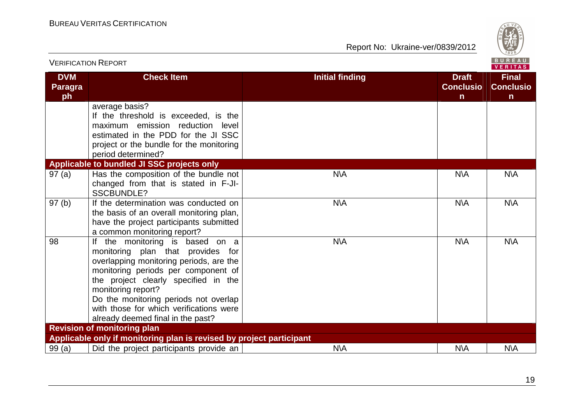

| <b>VERIFICATION REPORT</b>         |                                                                                                                                                                                                                                                                                                                                                  |                        | <b>BUREAU</b><br><b>VERITAS</b>                  |                                                  |
|------------------------------------|--------------------------------------------------------------------------------------------------------------------------------------------------------------------------------------------------------------------------------------------------------------------------------------------------------------------------------------------------|------------------------|--------------------------------------------------|--------------------------------------------------|
| <b>DVM</b><br><b>Paragra</b><br>ph | <b>Check Item</b>                                                                                                                                                                                                                                                                                                                                | <b>Initial finding</b> | <b>Draft</b><br><b>Conclusio</b><br>$\mathsf{n}$ | <b>Final</b><br><b>Conclusio</b><br>$\mathsf{n}$ |
|                                    | average basis?<br>If the threshold is exceeded, is the<br>maximum emission reduction level<br>estimated in the PDD for the JI SSC<br>project or the bundle for the monitoring<br>period determined?                                                                                                                                              |                        |                                                  |                                                  |
|                                    | Applicable to bundled JI SSC projects only                                                                                                                                                                                                                                                                                                       |                        |                                                  |                                                  |
| 97(a)                              | Has the composition of the bundle not<br>changed from that is stated in F-JI-<br><b>SSCBUNDLE?</b>                                                                                                                                                                                                                                               | <b>N\A</b>             | N\A                                              | <b>N\A</b>                                       |
| 97(b)                              | If the determination was conducted on<br>the basis of an overall monitoring plan,<br>have the project participants submitted<br>a common monitoring report?                                                                                                                                                                                      | N\A                    | N\A                                              | N\A                                              |
| 98                                 | the monitoring is based on a<br>lf<br>monitoring plan that provides for<br>overlapping monitoring periods, are the<br>monitoring periods per component of<br>the project clearly specified in the<br>monitoring report?<br>Do the monitoring periods not overlap<br>with those for which verifications were<br>already deemed final in the past? | <b>N\A</b>             | N\A                                              | <b>N\A</b>                                       |
|                                    | <b>Revision of monitoring plan</b>                                                                                                                                                                                                                                                                                                               |                        |                                                  |                                                  |
|                                    | Applicable only if monitoring plan is revised by project participant                                                                                                                                                                                                                                                                             |                        |                                                  |                                                  |
| 99(a)                              | Did the project participants provide an                                                                                                                                                                                                                                                                                                          | N\A                    | N\A                                              | N\A                                              |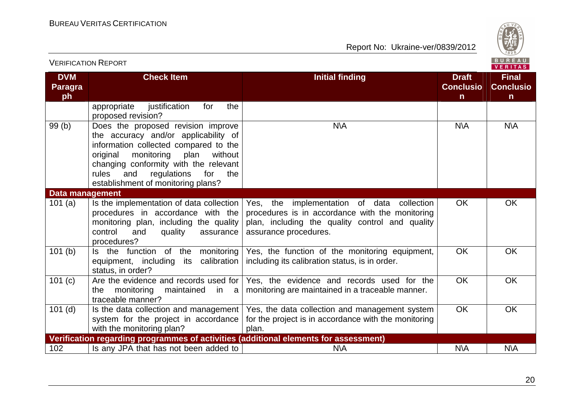

| <b>VERIFICATION REPORT</b>         |                                                                                                                                                                                                                                                                                              |                                                                                                                                                                           |                                                  | BUREAU<br><b>VERITAS</b>                         |
|------------------------------------|----------------------------------------------------------------------------------------------------------------------------------------------------------------------------------------------------------------------------------------------------------------------------------------------|---------------------------------------------------------------------------------------------------------------------------------------------------------------------------|--------------------------------------------------|--------------------------------------------------|
| <b>DVM</b><br><b>Paragra</b><br>ph | <b>Check Item</b>                                                                                                                                                                                                                                                                            | <b>Initial finding</b>                                                                                                                                                    | <b>Draft</b><br><b>Conclusio</b><br>$\mathsf{n}$ | <b>Final</b><br><b>Conclusio</b><br>$\mathsf{n}$ |
|                                    | appropriate<br>justification<br>the<br>for<br>proposed revision?                                                                                                                                                                                                                             |                                                                                                                                                                           |                                                  |                                                  |
| 99(b)                              | Does the proposed revision improve<br>the accuracy and/or applicability of<br>information collected compared to the<br>monitoring<br>plan<br>without<br>original<br>changing conformity with the relevant<br>regulations<br>rules<br>and<br>for<br>the<br>establishment of monitoring plans? | <b>N\A</b>                                                                                                                                                                | $N\setminus A$                                   | <b>N\A</b>                                       |
| Data management                    |                                                                                                                                                                                                                                                                                              |                                                                                                                                                                           |                                                  |                                                  |
| 101(a)                             | Is the implementation of data collection<br>procedures in accordance with the<br>monitoring plan, including the quality<br>control<br>and<br>quality<br>assurance<br>procedures?                                                                                                             | Yes, the implementation of data collection<br>procedures is in accordance with the monitoring<br>plan, including the quality control and quality<br>assurance procedures. | <b>OK</b>                                        | <b>OK</b>                                        |
| 101(b)                             | Is the function of the monitoring<br>its calibration<br>equipment, including<br>status, in order?                                                                                                                                                                                            | Yes, the function of the monitoring equipment,<br>including its calibration status, is in order.                                                                          | OK                                               | <b>OK</b>                                        |
| 101(c)                             | Are the evidence and records used for<br>monitoring<br>maintained<br>the<br>in al<br>traceable manner?                                                                                                                                                                                       | Yes, the evidence and records used for the<br>monitoring are maintained in a traceable manner.                                                                            | <b>OK</b>                                        | <b>OK</b>                                        |
| $101$ (d)                          | Is the data collection and management  <br>system for the project in accordance<br>with the monitoring plan?                                                                                                                                                                                 | Yes, the data collection and management system<br>for the project is in accordance with the monitoring<br>plan.                                                           | <b>OK</b>                                        | <b>OK</b>                                        |
|                                    | Verification regarding programmes of activities (additional elements for assessment)                                                                                                                                                                                                         |                                                                                                                                                                           |                                                  |                                                  |
| 102                                | Is any JPA that has not been added to                                                                                                                                                                                                                                                        | $N\setminus A$                                                                                                                                                            | N\A                                              | <b>N\A</b>                                       |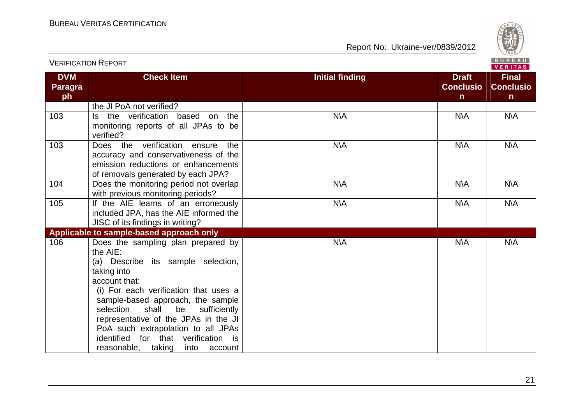

|                                    | <b>VERIFICATION REPORT</b>                                                                                                                                                                                                                                                                                                                                                                                |                                                                            | <b>BUREAU</b><br><b>VERITAS</b>                  |
|------------------------------------|-----------------------------------------------------------------------------------------------------------------------------------------------------------------------------------------------------------------------------------------------------------------------------------------------------------------------------------------------------------------------------------------------------------|----------------------------------------------------------------------------|--------------------------------------------------|
| <b>DVM</b><br><b>Paragra</b><br>ph | <b>Check Item</b>                                                                                                                                                                                                                                                                                                                                                                                         | <b>Initial finding</b><br><b>Draft</b><br><b>Conclusio</b><br>$\mathsf{n}$ | <b>Final</b><br><b>Conclusio</b><br>$\mathsf{n}$ |
|                                    | the JI PoA not verified?                                                                                                                                                                                                                                                                                                                                                                                  |                                                                            |                                                  |
| 103                                | Is the verification based on the<br>monitoring reports of all JPAs to be<br>verified?                                                                                                                                                                                                                                                                                                                     | N\A<br>N\A                                                                 | <b>N\A</b>                                       |
| 103                                | Does the verification ensure<br>the<br>accuracy and conservativeness of the<br>emission reductions or enhancements<br>of removals generated by each JPA?                                                                                                                                                                                                                                                  | <b>N\A</b><br><b>N\A</b>                                                   | <b>N\A</b>                                       |
| 104                                | Does the monitoring period not overlap<br>with previous monitoring periods?                                                                                                                                                                                                                                                                                                                               | <b>N\A</b><br>N\A                                                          | N\A                                              |
| 105                                | If the AIE learns of an erroneously<br>included JPA, has the AIE informed the<br>JISC of its findings in writing?                                                                                                                                                                                                                                                                                         | <b>N\A</b><br><b>N\A</b>                                                   | <b>N\A</b>                                       |
|                                    | Applicable to sample-based approach only                                                                                                                                                                                                                                                                                                                                                                  |                                                                            |                                                  |
| 106                                | Does the sampling plan prepared by<br>the AIE:<br>(a) Describe its sample selection,<br>taking into<br>account that:<br>(i) For each verification that uses a<br>sample-based approach, the sample<br>shall<br>be<br>selection<br>sufficiently<br>representative of the JPAs in the JI<br>PoA such extrapolation to all JPAs<br>identified for that verification is<br>reasonable, taking<br>into account | <b>N\A</b><br><b>N\A</b>                                                   | <b>N\A</b>                                       |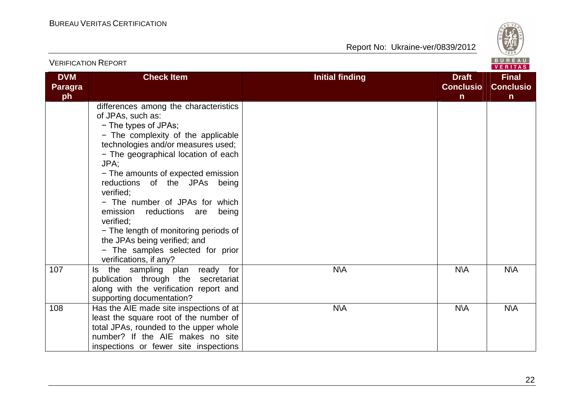

| <b>VERIFICATION REPORT</b>         |                                                                                                                                                                                                                                                                                                                                                                                                                                                                                                                               |                                                                 |                                       |
|------------------------------------|-------------------------------------------------------------------------------------------------------------------------------------------------------------------------------------------------------------------------------------------------------------------------------------------------------------------------------------------------------------------------------------------------------------------------------------------------------------------------------------------------------------------------------|-----------------------------------------------------------------|---------------------------------------|
| <b>DVM</b><br><b>Paragra</b><br>ph | <b>Check Item</b>                                                                                                                                                                                                                                                                                                                                                                                                                                                                                                             | <b>Initial finding</b><br><b>Draft</b><br><b>Conclusio</b><br>n | <b>Final</b><br><b>Conclusio</b><br>n |
|                                    | differences among the characteristics<br>of JPAs, such as:<br>- The types of JPAs;<br>- The complexity of the applicable<br>technologies and/or measures used;<br>- The geographical location of each<br>JPA:<br>- The amounts of expected emission<br>reductions of the JPAs being<br>verified:<br>- The number of JPAs for which<br>emission<br>reductions are<br>being<br>verified;<br>- The length of monitoring periods of<br>the JPAs being verified; and<br>- The samples selected for prior<br>verifications, if any? |                                                                 |                                       |
| 107                                | the sampling plan ready for<br>ls.<br>publication through the secretariat<br>along with the verification report and<br>supporting documentation?                                                                                                                                                                                                                                                                                                                                                                              | <b>N\A</b><br>N\A                                               | <b>N\A</b>                            |
| 108                                | Has the AIE made site inspections of at<br>least the square root of the number of<br>total JPAs, rounded to the upper whole<br>number? If the AIE makes no site<br>inspections or fewer site inspections                                                                                                                                                                                                                                                                                                                      | <b>N\A</b><br>$N\setminus A$                                    | N\A                                   |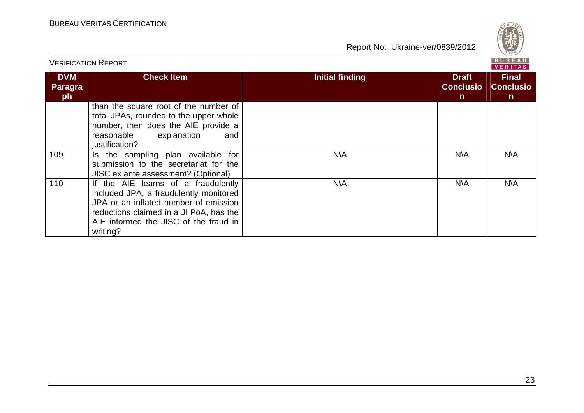

| <b>VERIFICATION REPORT</b>  |                                                                                                                                                                                                                        |                                                                            |                                                  |
|-----------------------------|------------------------------------------------------------------------------------------------------------------------------------------------------------------------------------------------------------------------|----------------------------------------------------------------------------|--------------------------------------------------|
| <b>DVM</b><br>Paragra<br>ph | <b>Check Item</b>                                                                                                                                                                                                      | <b>Initial finding</b><br><b>Draft</b><br><b>Conclusio</b><br>$\mathsf{n}$ | <b>Final</b><br><b>Conclusio</b><br>$\mathsf{n}$ |
|                             | than the square root of the number of<br>total JPAs, rounded to the upper whole<br>number, then does the AIE provide a<br>reasonable<br>explanation<br>and<br>justification?                                           |                                                                            |                                                  |
| 109                         | Is the sampling plan available for<br>submission to the secretariat for the<br>JISC ex ante assessment? (Optional)                                                                                                     | <b>N\A</b><br>N\A                                                          | N\A                                              |
| 110                         | If the AIE learns of a fraudulently<br>included JPA, a fraudulently monitored<br>JPA or an inflated number of emission<br>reductions claimed in a JI PoA, has the<br>AIE informed the JISC of the fraud in<br>writing? | N\A<br>N\A                                                                 | N\A                                              |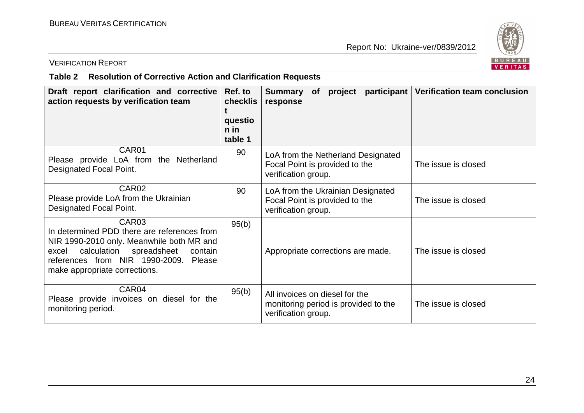

#### VERIFICATION REPORT

# **Table 2 Resolution of Corrective Action and Clarification Requests**

| Draft report clarification and corrective<br>action requests by verification team                                                                                                                                                         | Ref. to<br><b>checklis</b><br>questio<br>n in<br>table 1 | participant<br>project<br><b>Summary</b><br>of<br>response                                    | <b>Verification team conclusion</b> |
|-------------------------------------------------------------------------------------------------------------------------------------------------------------------------------------------------------------------------------------------|----------------------------------------------------------|-----------------------------------------------------------------------------------------------|-------------------------------------|
| CAR01<br>Please provide LoA from the Netherland<br>Designated Focal Point.                                                                                                                                                                | 90                                                       | LoA from the Netherland Designated<br>Focal Point is provided to the<br>verification group.   | The issue is closed                 |
| CAR <sub>02</sub><br>Please provide LoA from the Ukrainian<br>Designated Focal Point.                                                                                                                                                     | 90                                                       | LoA from the Ukrainian Designated<br>Focal Point is provided to the<br>verification group.    | The issue is closed                 |
| CAR <sub>03</sub><br>In determined PDD there are references from<br>NIR 1990-2010 only. Meanwhile both MR and<br>calculation<br>spreadsheet<br>excel<br>contain<br>references from NIR 1990-2009. Please<br>make appropriate corrections. | 95(b)                                                    | Appropriate corrections are made.                                                             | The issue is closed                 |
| CAR04<br>Please provide invoices on diesel for the<br>monitoring period.                                                                                                                                                                  | 95(b)                                                    | All invoices on diesel for the<br>monitoring period is provided to the<br>verification group. | The issue is closed                 |